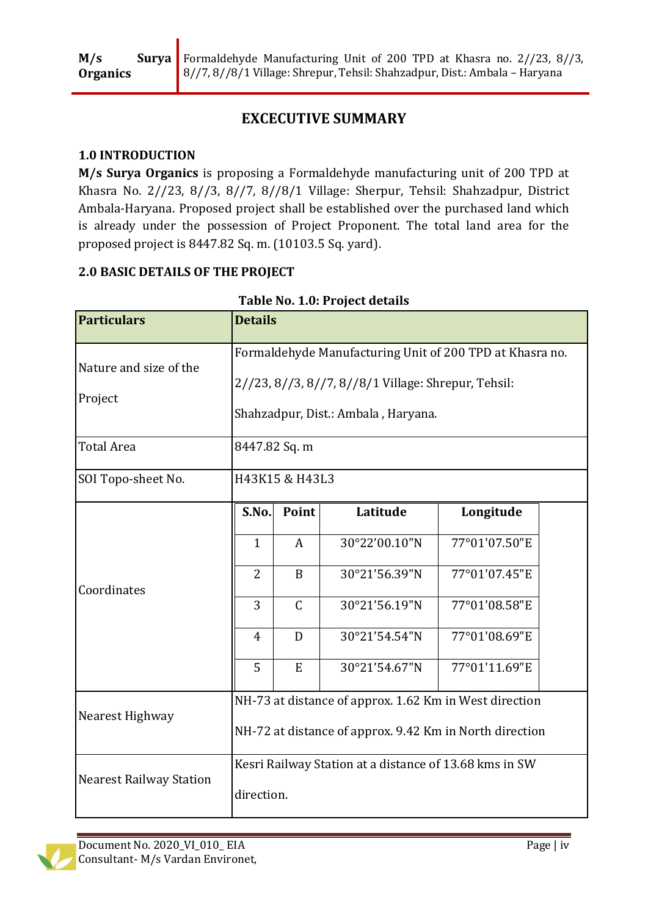# **EXCECUTIVE SUMMARY**

# **1.0 INTRODUCTION**

**M/s Surya Organics** is proposing a Formaldehyde manufacturing unit of 200 TPD at Khasra No. 2//23, 8//3, 8//7, 8//8/1 Village: Sherpur, Tehsil: Shahzadpur, District Ambala-Haryana. Proposed project shall be established over the purchased land which is already under the possession of Project Proponent. The total land area for the proposed project is 8447.82 Sq. m. (10103.5 Sq. yard).

# **2.0 BASIC DETAILS OF THE PROJECT**

| <b>Particulars</b>                | <b>Details</b>                                                                                                                                         |              |               |               |  |  |
|-----------------------------------|--------------------------------------------------------------------------------------------------------------------------------------------------------|--------------|---------------|---------------|--|--|
| Nature and size of the<br>Project | Formaldehyde Manufacturing Unit of 200 TPD at Khasra no.<br>2//23, 8//3, 8//7, 8//8/1 Village: Shrepur, Tehsil:<br>Shahzadpur, Dist.: Ambala, Haryana. |              |               |               |  |  |
| <b>Total Area</b>                 | 8447.82 Sq. m                                                                                                                                          |              |               |               |  |  |
| SOI Topo-sheet No.                | H43K15 & H43L3                                                                                                                                         |              |               |               |  |  |
| Coordinates                       | S.No.                                                                                                                                                  | Point        | Latitude      | Longitude     |  |  |
|                                   | $\mathbf{1}$                                                                                                                                           | A            | 30°22'00.10"N | 77°01'07.50"E |  |  |
|                                   | 2                                                                                                                                                      | B            | 30°21'56.39"N | 77°01'07.45"E |  |  |
|                                   | 3                                                                                                                                                      | $\mathsf{C}$ | 30°21'56.19"N | 77°01'08.58"E |  |  |
|                                   | $\overline{4}$                                                                                                                                         | D            | 30°21'54.54"N | 77°01'08.69"E |  |  |
|                                   | 5                                                                                                                                                      | E            | 30°21'54.67"N | 77°01'11.69"E |  |  |
| Nearest Highway                   | NH-73 at distance of approx. 1.62 Km in West direction<br>NH-72 at distance of approx. 9.42 Km in North direction                                      |              |               |               |  |  |
| <b>Nearest Railway Station</b>    | Kesri Railway Station at a distance of 13.68 kms in SW<br>direction.                                                                                   |              |               |               |  |  |

# **Table No. 1.0: Project details**

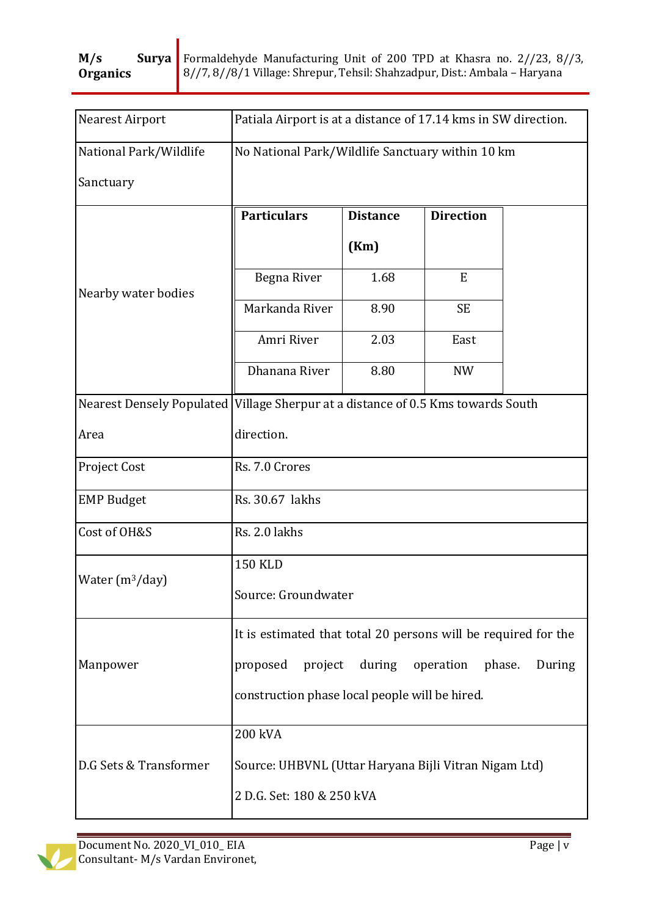| Nearest Airport        | Patiala Airport is at a distance of 17.14 kms in SW direction.                     |                 |                  |  |  |
|------------------------|------------------------------------------------------------------------------------|-----------------|------------------|--|--|
| National Park/Wildlife | No National Park/Wildlife Sanctuary within 10 km                                   |                 |                  |  |  |
| Sanctuary              |                                                                                    |                 |                  |  |  |
| Nearby water bodies    | <b>Particulars</b>                                                                 | <b>Distance</b> | <b>Direction</b> |  |  |
|                        |                                                                                    | (Km)            |                  |  |  |
|                        | Begna River                                                                        | 1.68            | E                |  |  |
|                        | Markanda River                                                                     | 8.90            | <b>SE</b>        |  |  |
|                        | Amri River                                                                         | 2.03            | East             |  |  |
|                        | Dhanana River                                                                      | 8.80            | <b>NW</b>        |  |  |
|                        | Nearest Densely Populated   Village Sherpur at a distance of 0.5 Kms towards South |                 |                  |  |  |
| Area                   | direction.                                                                         |                 |                  |  |  |
| Project Cost           | Rs. 7.0 Crores                                                                     |                 |                  |  |  |
| <b>EMP Budget</b>      | Rs. 30.67 lakhs                                                                    |                 |                  |  |  |
| Cost of OH&S           | Rs. 2.0 lakhs                                                                      |                 |                  |  |  |
| Water $(m^3/day)$      | <b>150 KLD</b>                                                                     |                 |                  |  |  |
|                        | Source: Groundwater                                                                |                 |                  |  |  |
| Manpower               | It is estimated that total 20 persons will be required for the                     |                 |                  |  |  |
|                        | during<br>proposed<br>project<br>operation<br>phase.<br>During                     |                 |                  |  |  |
|                        | construction phase local people will be hired.                                     |                 |                  |  |  |
| D.G Sets & Transformer | 200 kVA                                                                            |                 |                  |  |  |
|                        | Source: UHBVNL (Uttar Haryana Bijli Vitran Nigam Ltd)                              |                 |                  |  |  |
|                        | 2 D.G. Set: 180 & 250 kVA                                                          |                 |                  |  |  |

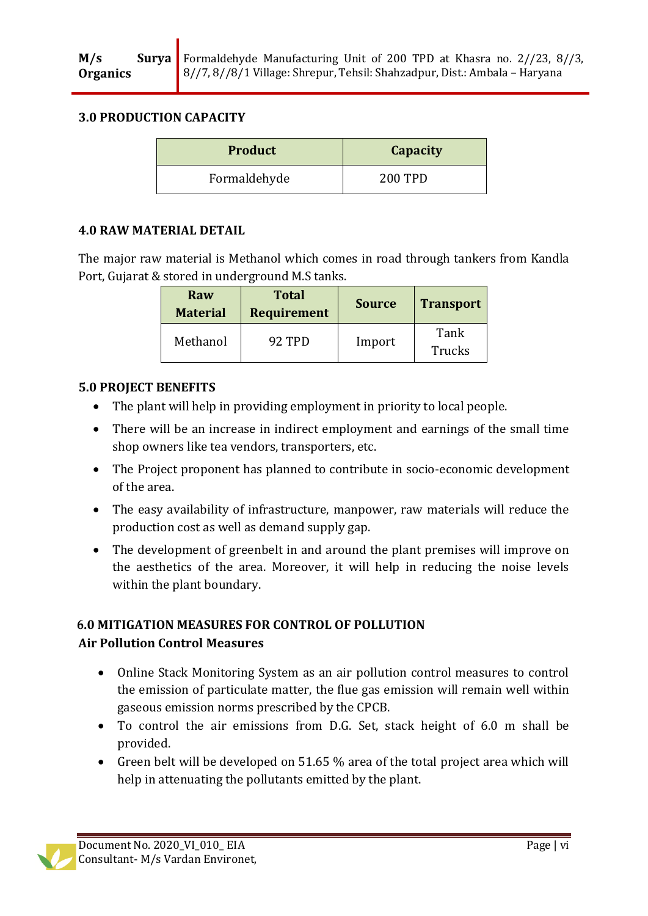### **3.0 PRODUCTION CAPACITY**

| <b>Product</b> | Capacity       |
|----------------|----------------|
| Formaldehyde   | <b>200 TPD</b> |

#### **4.0 RAW MATERIAL DETAIL**

The major raw material is Methanol which comes in road through tankers from Kandla Port, Gujarat & stored in underground M.S tanks.

| Raw<br><b>Material</b> | <b>Total</b><br><b>Requirement</b> | <b>Source</b> | <b>Transport</b>      |
|------------------------|------------------------------------|---------------|-----------------------|
| Methanol               | 92 TPD                             | Import        | Tank<br><b>Trucks</b> |

# **5.0 PROJECT BENEFITS**

- The plant will help in providing employment in priority to local people.
- There will be an increase in indirect employment and earnings of the small time shop owners like tea vendors, transporters, etc.
- The Project proponent has planned to contribute in socio-economic development of the area.
- The easy availability of infrastructure, manpower, raw materials will reduce the production cost as well as demand supply gap.
- The development of greenbelt in and around the plant premises will improve on the aesthetics of the area. Moreover, it will help in reducing the noise levels within the plant boundary.

### **6.0 MITIGATION MEASURES FOR CONTROL OF POLLUTION Air Pollution Control Measures**

- Online Stack Monitoring System as an air pollution control measures to control the emission of particulate matter, the flue gas emission will remain well within gaseous emission norms prescribed by the CPCB.
- To control the air emissions from D.G. Set, stack height of 6.0 m shall be provided.
- Green belt will be developed on 51.65 % area of the total project area which will help in attenuating the pollutants emitted by the plant.

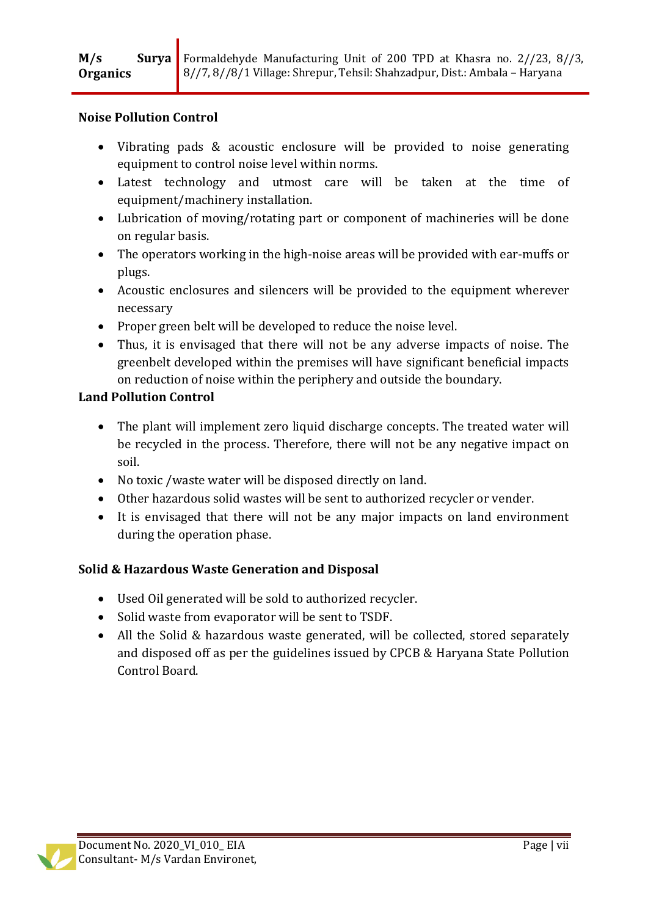#### **Noise Pollution Control**

- Vibrating pads & acoustic enclosure will be provided to noise generating equipment to control noise level within norms.
- Latest technology and utmost care will be taken at the time of equipment/machinery installation.
- Lubrication of moving/rotating part or component of machineries will be done on regular basis.
- The operators working in the high-noise areas will be provided with ear-muffs or plugs.
- Acoustic enclosures and silencers will be provided to the equipment wherever necessary
- Proper green belt will be developed to reduce the noise level.
- Thus, it is envisaged that there will not be any adverse impacts of noise. The greenbelt developed within the premises will have significant beneficial impacts on reduction of noise within the periphery and outside the boundary.

### **Land Pollution Control**

- The plant will implement zero liquid discharge concepts. The treated water will be recycled in the process. Therefore, there will not be any negative impact on soil.
- No toxic /waste water will be disposed directly on land.
- Other hazardous solid wastes will be sent to authorized recycler or vender.
- It is envisaged that there will not be any major impacts on land environment during the operation phase.

# **Solid & Hazardous Waste Generation and Disposal**

- Used Oil generated will be sold to authorized recycler.
- Solid waste from evaporator will be sent to TSDF.
- All the Solid & hazardous waste generated, will be collected, stored separately and disposed off as per the guidelines issued by CPCB & Haryana State Pollution Control Board.